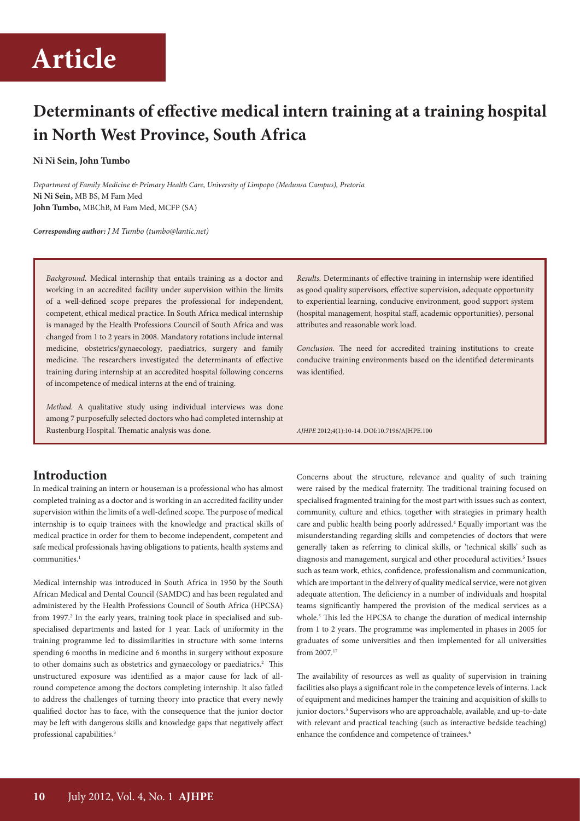## **Determinants of effective medical intern training at a training hospital in North West Province, South Africa**

#### **Ni Ni Sein, John Tumbo**

*Department of Family Medicine & Primary Health Care, University of Limpopo (Medunsa Campus), Pretoria* **Ni Ni Sein,** MB BS, M Fam Med **John Tumbo,** MBChB, M Fam Med, MCFP (SA)

*Corresponding author: J M Tumbo (tumbo@lantic.net)*

*Background.* Medical internship that entails training as a doctor and working in an accredited facility under supervision within the limits of a well-defined scope prepares the professional for independent, competent, ethical medical practice. In South Africa medical internship is managed by the Health Professions Council of South Africa and was changed from 1 to 2 years in 2008. Mandatory rotations include internal medicine, obstetrics/gynaecology, paediatrics, surgery and family medicine. The researchers investigated the determinants of effective training during internship at an accredited hospital following concerns of incompetence of medical interns at the end of training.

*Method.* A qualitative study using individual interviews was done among 7 purposefully selected doctors who had completed internship at Rustenburg Hospital. Thematic analysis was done.

### **Introduction**

In medical training an intern or houseman is a professional who has almost completed training as a doctor and is working in an accredited facility under supervision within the limits of a well-defined scope. The purpose of medical internship is to equip trainees with the knowledge and practical skills of medical practice in order for them to become independent, competent and safe medical professionals having obligations to patients, health systems and communities.<sup>1</sup>

Medical internship was introduced in South Africa in 1950 by the South African Medical and Dental Council (SAMDC) and has been regulated and administered by the Health Professions Council of South Africa (HPCSA) from 1997.<sup>2</sup> In the early years, training took place in specialised and subspecialised departments and lasted for 1 year. Lack of uniformity in the training programme led to dissimilarities in structure with some interns spending 6 months in medicine and 6 months in surgery without exposure to other domains such as obstetrics and gynaecology or paediatrics.<sup>2</sup> This unstructured exposure was identified as a major cause for lack of allround competence among the doctors completing internship. It also failed to address the challenges of turning theory into practice that every newly qualified doctor has to face, with the consequence that the junior doctor may be left with dangerous skills and knowledge gaps that negatively affect professional capabilities.3

*Results.* Determinants of effective training in internship were identified as good quality supervisors, effective supervision, adequate opportunity to experiential learning, conducive environment, good support system (hospital management, hospital staff, academic opportunities), personal attributes and reasonable work load.

*Conclusion.* The need for accredited training institutions to create conducive training environments based on the identified determinants was identified.

*AJHPE* 2012;4(1):10-14. DOI:10.7196/AJHPE.100

Concerns about the structure, relevance and quality of such training were raised by the medical fraternity. The traditional training focused on specialised fragmented training for the most part with issues such as context, community, culture and ethics, together with strategies in primary health care and public health being poorly addressed.<sup>4</sup> Equally important was the misunderstanding regarding skills and competencies of doctors that were generally taken as referring to clinical skills, or 'technical skills' such as diagnosis and management, surgical and other procedural activities.<sup>5</sup> Issues such as team work, ethics, confidence, professionalism and communication, which are important in the delivery of quality medical service, were not given adequate attention. The deficiency in a number of individuals and hospital teams significantly hampered the provision of the medical services as a whole.<sup>5</sup> This led the HPCSA to change the duration of medical internship from 1 to 2 years. The programme was implemented in phases in 2005 for graduates of some universities and then implemented for all universities from 2007.17

The availability of resources as well as quality of supervision in training facilities also plays a significant role in the competence levels of interns. Lack of equipment and medicines hamper the training and acquisition of skills to junior doctors.<sup>5</sup> Supervisors who are approachable, available, and up-to-date with relevant and practical teaching (such as interactive bedside teaching) enhance the confidence and competence of trainees.<sup>6</sup>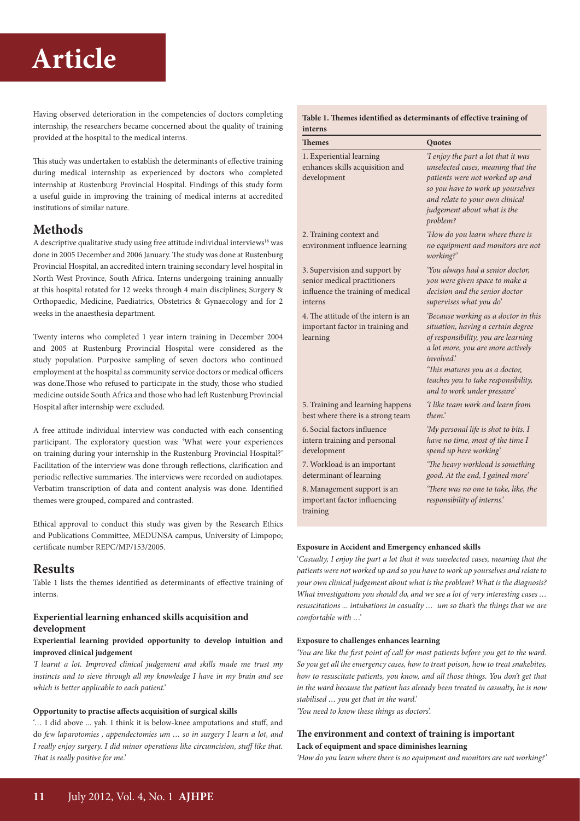Having observed deterioration in the competencies of doctors completing internship, the researchers became concerned about the quality of training provided at the hospital to the medical interns.

This study was undertaken to establish the determinants of effective training during medical internship as experienced by doctors who completed internship at Rustenburg Provincial Hospital. Findings of this study form a useful guide in improving the training of medical interns at accredited institutions of similar nature.

### **Methods**

A descriptive qualitative study using free attitude individual interviews<sup>18</sup> was done in 2005 December and 2006 January. The study was done at Rustenburg Provincial Hospital, an accredited intern training secondary level hospital in North West Province, South Africa. Interns undergoing training annually at this hospital rotated for 12 weeks through 4 main disciplines; Surgery & Orthopaedic, Medicine, Paediatrics, Obstetrics & Gynaecology and for 2 weeks in the anaesthesia department.

Twenty interns who completed 1 year intern training in December 2004 and 2005 at Rustenburg Provincial Hospital were considered as the study population. Purposive sampling of seven doctors who continued employment at the hospital as community service doctors or medical officers was done.Those who refused to participate in the study, those who studied medicine outside South Africa and those who had left Rustenburg Provincial Hospital after internship were excluded.

A free attitude individual interview was conducted with each consenting participant. The exploratory question was: 'What were your experiences on training during your internship in the Rustenburg Provincial Hospital?' Facilitation of the interview was done through reflections, clarification and periodic reflective summaries. The interviews were recorded on audiotapes. Verbatim transcription of data and content analysis was done. Identified themes were grouped, compared and contrasted.

Ethical approval to conduct this study was given by the Research Ethics and Publications Committee, MEDUNSA campus, University of Limpopo; certificate number REPC/MP/153/2005.

### **Results**

Table 1 lists the themes identified as determinants of effective training of interns.

#### **Experiential learning enhanced skills acquisition and development**

#### **Experiential learning provided opportunity to develop intuition and improved clinical judgement**

*'I learnt a lot. Improved clinical judgement and skills made me trust my instincts and to sieve through all my knowledge I have in my brain and see which is better applicable to each patient.'*

#### **Opportunity to practise affects acquisition of surgical skills**

'… I did above ... yah. I think it is below-knee amputations and stuff, and do *few laparotomies , appendectomies um … so in surgery I learn a lot, and I really enjoy surgery. I did minor operations like circumcision, stuff like that. That is really positive for me.'*

#### **Table 1. Themes identified as determinants of effective training of interns**

| Themes                                                                                                        | Quotes                                                                                                                                                                                                                                                                       |
|---------------------------------------------------------------------------------------------------------------|------------------------------------------------------------------------------------------------------------------------------------------------------------------------------------------------------------------------------------------------------------------------------|
| 1. Experiential learning<br>enhances skills acquisition and<br>development                                    | 'I enjoy the part a lot that it was<br>unselected cases, meaning that the<br>patients were not worked up and<br>so you have to work up yourselves<br>and relate to your own clinical<br>judgement about what is the<br>problem?                                              |
| 2. Training context and<br>environment influence learning                                                     | 'How do you learn where there is<br>no equipment and monitors are not<br>working?'                                                                                                                                                                                           |
| 3. Supervision and support by<br>senior medical practitioners<br>influence the training of medical<br>interns | 'You always had a senior doctor,<br>you were given space to make a<br>decision and the senior doctor<br>supervises what you do'                                                                                                                                              |
| 4. The attitude of the intern is an<br>important factor in training and<br>learning                           | 'Because working as a doctor in this<br>situation, having a certain degree<br>of responsibility, you are learning<br>a lot more, you are more actively<br>involved.'<br>'This matures you as a doctor,<br>teaches you to take responsibility,<br>and to work under pressure' |
| 5. Training and learning happens<br>best where there is a strong team                                         | I like team work and learn from<br>them'                                                                                                                                                                                                                                     |
| 6. Social factors influence<br>intern training and personal<br>development                                    | 'My personal life is shot to bits. I<br>have no time, most of the time I<br>spend up here working'                                                                                                                                                                           |
| 7. Workload is an important<br>determinant of learning                                                        | 'The heavy workload is something<br>good. At the end, I gained more'                                                                                                                                                                                                         |
| 8. Management support is an<br>important factor influencing<br>training                                       | 'There was no one to take, like, the<br>responsibility of interns.'                                                                                                                                                                                                          |

'*Casualty, I enjoy the part a lot that it was unselected cases, meaning that the patients were not worked up and so you have to work up yourselves and relate to your own clinical judgement about what is the problem? What is the diagnosis? What investigations you should do, and we see a lot of very interesting cases … resuscitations ... intubations in casualty … um so that's the things that we are comfortable with …'*

#### **Exposure to challenges enhances learning**

*'You are like the first point of call for most patients before you get to the ward. So you get all the emergency cases, how to treat poison, how to treat snakebites, how to resuscitate patients, you know, and all those things. You don't get that in the ward because the patient has already been treated in casualty, he is now stabilised … you get that in the ward.'* 

*'You need to know these things as doctors*'.

#### **The environment and context of training is important Lack of equipment and space diminishes learning**

*'How do you learn where there is no equipment and monitors are not working?'*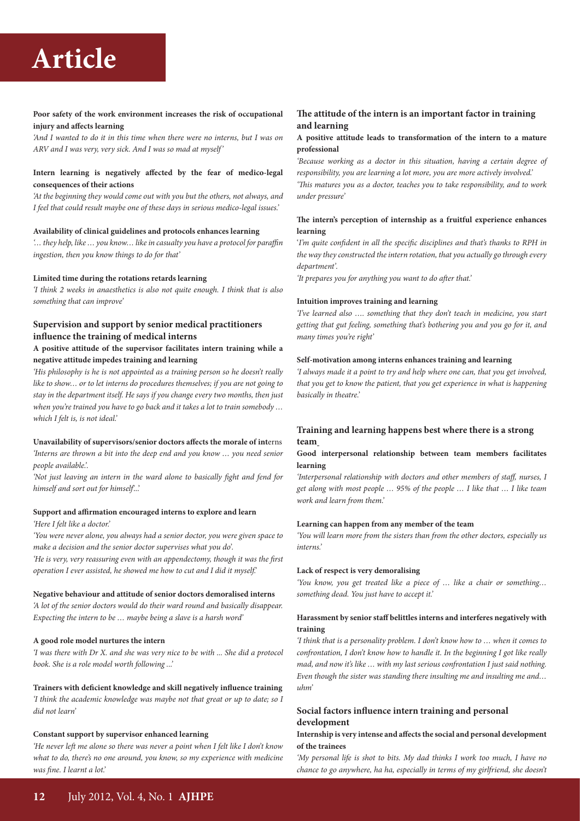#### **Poor safety of the work environment increases the risk of occupational injury and affects learning**

*'And I wanted to do it in this time when there were no interns, but I was on ARV and I was very, very sick. And I was so mad at myself'*

#### **Intern learning is negatively affected by the fear of medico-legal consequences of their actions**

*'At the beginning they would come out with you but the others, not always, and I feel that could result maybe one of these days in serious medico-legal issues.'*

#### **Availability of clinical guidelines and protocols enhances learning**

*'… they help, like … you know… like in casualty you have a protocol for paraffin ingestion, then you know things to do for that'*

#### **Limited time during the rotations retards learning**

*'I think 2 weeks in anaesthetics is also not quite enough. I think that is also something that can improve'* 

#### **Supervision and support by senior medical practitioners influence the training of medical interns**

#### **A positive attitude of the supervisor facilitates intern training while a negative attitude impedes training and learning**

*'His philosophy is he is not appointed as a training person so he doesn't really like to show… or to let interns do procedures themselves; if you are not going to stay in the department itself. He says if you change every two months, then just when you're trained you have to go back and it takes a lot to train somebody … which I felt is, is not ideal.'*

#### **Unavailability of supervisors/senior doctors affects the morale of int**erns

*'Interns are thrown a bit into the deep end and you know … you need senior people available.'.* 

*'Not just leaving an intern in the ward alone to basically fight and fend for himself and sort out for himself*'...'

#### **Support and affirmation encouraged interns to explore and learn**  *'Here I felt like a doctor.'*

*'You were never alone, you always had a senior doctor, you were given space to* 

*make a decision and the senior doctor supervises what you do'.* 

*'He is very, very reassuring even with an appendectomy, though it was the first operation I ever assisted, he showed me how to cut and I did it myself.'* 

#### **Negative behaviour and attitude of senior doctors demoralised interns**

*'A lot of the senior doctors would do their ward round and basically disappear. Expecting the intern to be … maybe being a slave is a harsh word'*

#### **A good role model nurtures the intern**

*'I was there with Dr X. and she was very nice to be with ... She did a protocol book. She is a role model worth following ...'*

**Trainers with deficient knowledge and skill negatively influence training**  *'I think the academic knowledge was maybe not that great or up to date; so I did not learn'*

#### **Constant support by supervisor enhanced learning**

*'He never left me alone so there was never a point when I felt like I don't know what to do, there's no one around, you know, so my experience with medicine was fine. I learnt a lot.'*

#### **The attitude of the intern is an important factor in training and learning**

#### **A positive attitude leads to transformation of the intern to a mature professional**

*'Because working as a doctor in this situation, having a certain degree of responsibility, you are learning a lot more, you are more actively involved.' 'This matures you as a doctor, teaches you to take responsibility, and to work under pressure'*

#### **The intern's perception of internship as a fruitful experience enhances learning**

'*I'm quite confident in all the specific disciplines and that's thanks to RPH in the way they constructed the intern rotation, that you actually go through every department'.* 

*'It prepares you for anything you want to do after that.'*

#### **Intuition improves training and learning**

*'I've learned also …. something that they don't teach in medicine, you start getting that gut feeling, something that's bothering you and you go for it, and many times you're right'*

#### **Self-motivation among interns enhances training and learning**

*'I always made it a point to try and help where one can, that you get involved, that you get to know the patient, that you get experience in what is happening basically in theatre.'*

#### **Training and learning happens best where there is a strong team**

#### **Good interpersonal relationship between team members facilitates learning**

*'Interpersonal relationship with doctors and other members of staff, nurses, I get along with most people … 95% of the people … I like that … I like team work and learn from them.'* 

#### **Learning can happen from any member of the team**

*'You will learn more from the sisters than from the other doctors, especially us interns.'* 

#### **Lack of respect is very demoralising**

*'You know, you get treated like a piece of … like a chair or something… something dead. You just have to accept it.'*

#### **Harassment by senior staff belittles interns and interferes negatively with training**

*'I think that is a personality problem. I don't know how to … when it comes to confrontation, I don't know how to handle it. In the beginning I got like really mad, and now it's like … with my last serious confrontation I just said nothing. Even though the sister was standing there insulting me and insulting me and… uhm'*

#### **Social factors influence intern training and personal development**

#### **Internship is very intense and affects the social and personal development of the trainees**

*'My personal life is shot to bits. My dad thinks I work too much, I have no chance to go anywhere, ha ha, especially in terms of my girlfriend, she doesn't*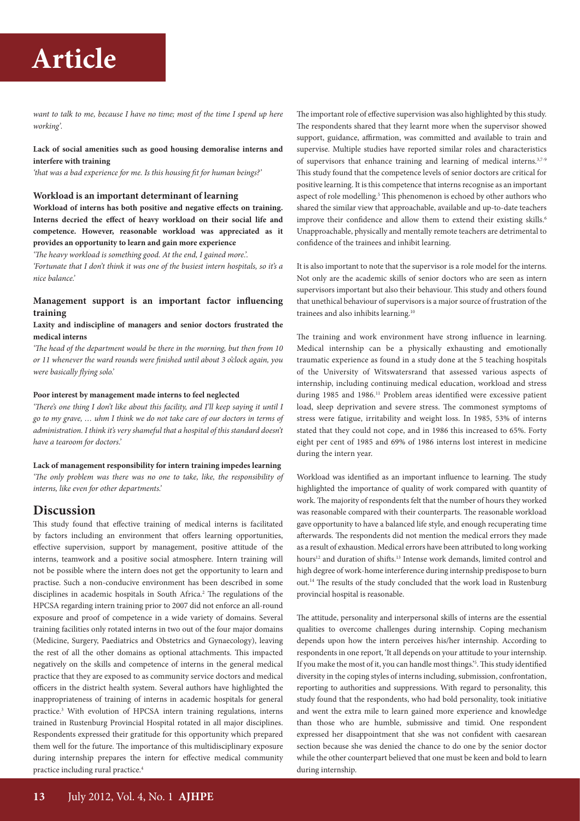*want to talk to me, because I have no time; most of the time I spend up here working'.*

**Lack of social amenities such as good housing demoralise interns and interfere with training** 

*'that was a bad experience for me. Is this housing fit for human beings?'* 

#### **Workload is an important determinant of learning**

**Workload of interns has both positive and negative effects on training. Interns decried the effect of heavy workload on their social life and competence. However, reasonable workload was appreciated as it provides an opportunity to learn and gain more experience** 

*'The heavy workload is something good. At the end, I gained more.'. 'Fortunate that I don't think it was one of the busiest intern hospitals, so it's a nice balance.'*

#### **Management support is an important factor influencing training**

#### **Laxity and indiscipline of managers and senior doctors frustrated the medical interns**

*'The head of the department would be there in the morning, but then from 10 or 11 whenever the ward rounds were finished until about 3 o'clock again, you were basically flying solo.'*

#### **Poor interest by management made interns to feel neglected**

*'There's one thing I don't like about this facility, and I'll keep saying it until I go to my grave, … uhm I think we do not take care of our doctors in terms of administration. I think it's very shameful that a hospital of this standard doesn't have a tearoom for doctors.'*

#### **Lack of management responsibility for intern training impedes learning**

*'The only problem was there was no one to take, like, the responsibility of interns, like even for other departments.'* 

#### **Discussion**

This study found that effective training of medical interns is facilitated by factors including an environment that offers learning opportunities, effective supervision, support by management, positive attitude of the interns, teamwork and a positive social atmosphere. Intern training will not be possible where the intern does not get the opportunity to learn and practise. Such a non-conducive environment has been described in some disciplines in academic hospitals in South Africa.<sup>2</sup> The regulations of the HPCSA regarding intern training prior to 2007 did not enforce an all-round exposure and proof of competence in a wide variety of domains. Several training facilities only rotated interns in two out of the four major domains (Medicine, Surgery, Paediatrics and Obstetrics and Gynaecology), leaving the rest of all the other domains as optional attachments. This impacted negatively on the skills and competence of interns in the general medical practice that they are exposed to as community service doctors and medical officers in the district health system. Several authors have highlighted the inappropriateness of training of interns in academic hospitals for general practice.3 With evolution of HPCSA intern training regulations, interns trained in Rustenburg Provincial Hospital rotated in all major disciplines. Respondents expressed their gratitude for this opportunity which prepared them well for the future. The importance of this multidisciplinary exposure during internship prepares the intern for effective medical community practice including rural practice.4

The important role of effective supervision was also highlighted by this study. The respondents shared that they learnt more when the supervisor showed support, guidance, affirmation, was committed and available to train and supervise. Multiple studies have reported similar roles and characteristics of supervisors that enhance training and learning of medical interns.3,7-9 This study found that the competence levels of senior doctors are critical for positive learning. It is this competence that interns recognise as an important aspect of role modelling.<sup>5</sup> This phenomenon is echoed by other authors who shared the similar view that approachable, available and up-to-date teachers improve their confidence and allow them to extend their existing skills.<sup>6</sup> Unapproachable, physically and mentally remote teachers are detrimental to confidence of the trainees and inhibit learning.

It is also important to note that the supervisor is a role model for the interns. Not only are the academic skills of senior doctors who are seen as intern supervisors important but also their behaviour. This study and others found that unethical behaviour of supervisors is a major source of frustration of the trainees and also inhibits learning.10

The training and work environment have strong influence in learning. Medical internship can be a physically exhausting and emotionally traumatic experience as found in a study done at the 5 teaching hospitals of the University of Witswatersrand that assessed various aspects of internship, including continuing medical education, workload and stress during 1985 and 1986.<sup>11</sup> Problem areas identified were excessive patient load, sleep deprivation and severe stress. The commonest symptoms of stress were fatigue, irritability and weight loss. In 1985, 53% of interns stated that they could not cope, and in 1986 this increased to 65%. Forty eight per cent of 1985 and 69% of 1986 interns lost interest in medicine during the intern year.

Workload was identified as an important influence to learning. The study highlighted the importance of quality of work compared with quantity of work. The majority of respondents felt that the number of hours they worked was reasonable compared with their counterparts. The reasonable workload gave opportunity to have a balanced life style, and enough recuperating time afterwards. The respondents did not mention the medical errors they made as a result of exhaustion. Medical errors have been attributed to long working hours<sup>12</sup> and duration of shifts.<sup>13</sup> Intense work demands, limited control and high degree of work-home interference during internship predispose to burn out.14 The results of the study concluded that the work load in Rustenburg provincial hospital is reasonable.

The attitude, personality and interpersonal skills of interns are the essential qualities to overcome challenges during internship. Coping mechanism depends upon how the intern perceives his/her internship. According to respondents in one report, 'It all depends on your attitude to your internship. If you make the most of it, you can handle most things.'5 . This study identified diversity in the coping styles of interns including, submission, confrontation, reporting to authorities and suppressions. With regard to personality, this study found that the respondents, who had bold personality, took initiative and went the extra mile to learn gained more experience and knowledge than those who are humble, submissive and timid. One respondent expressed her disappointment that she was not confident with caesarean section because she was denied the chance to do one by the senior doctor while the other counterpart believed that one must be keen and bold to learn during internship.